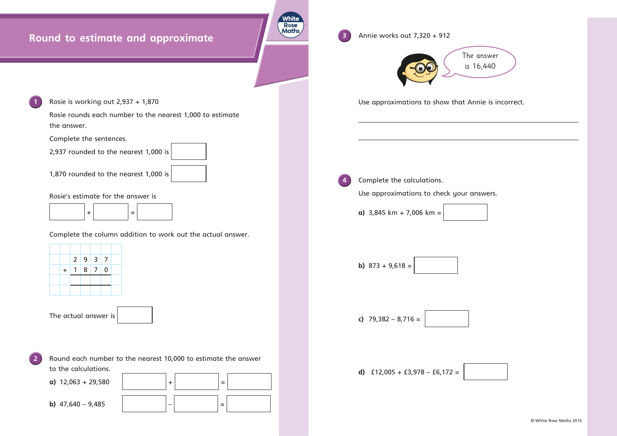

© White Rose Maths 2019